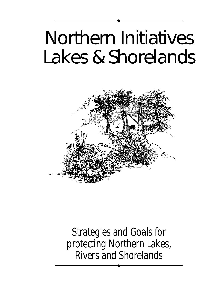# Northern Initiatives Lakes & Shorelands

◆



Strategies and Goals for protecting Northern Lakes, Rivers and Shorelands

◆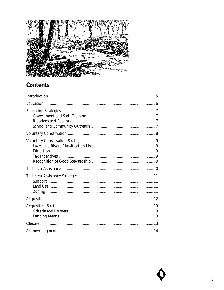

## Contents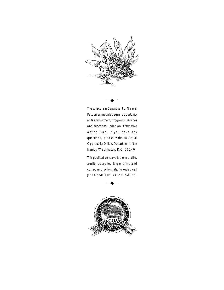

The Wisconsin Department of Natural Resources provides equal opportunity in its employment, programs, services and functions under an Affirmative Action Plan. If you have any questions, please write to Equal Opporutnity Office, Department of the Interior, Washington, D.C. 20240

◆

This publication is available in braille, audio cassette, large print and computer disk formats. To order, call John Gozdzialski, 715/635-4055.

◆

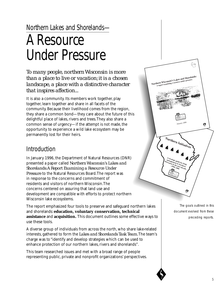## Northern Lakes and Shorelands—

## A Resource Under Pressure

*To many people, northern Wisconsin is more than a place to live or vacation; it is a chosen landscape, a place with a distinctive character that inspires affection...*

It is also a community. Its members work together, play together, learn together and share in all facets of the community. Because their livelihood comes from the region, they share a common bond—they care about the future of this delightful place of lakes, rivers and trees. They also share a common sense of urgency—if the attempt is not made, the opportunity to experience a wild lake ecosystem may be permanently lost for their heirs.

## **Introduction**

In January 1996, the Department of Natural Resources (DNR) presented a paper called *Northern Wisconsin's Lakes and Shorelands: A Report Examining a Resource Under Pressure* to the Natural Resources Board. The report was in response to the concerns and commitment of residents and visitors of northern Wisconsin. The concerns centered on assuring that land use and development are compatible with efforts to protect northern Wisconsin lake ecosystems.

The report emphasized four tools to preserve and safeguard northern lakes and shorelands: **education, voluntary conservation, technical assistance** and **acquisition.** This document outlines some effective ways to use these tools.

A diverse group of individuals from across the north, who share lake-related interests, gathered to form the *Lakes and Shorelands Task Team.* The team's charge was to "identify and develop strategies which can be used to enhance protection of our northern lakes, rivers and shorelands".

This team researched issues and met with a broad range of people representing public, private and nonprofit organizations' perspectives.



The goals outlined in this document evolved from these preceding reports.

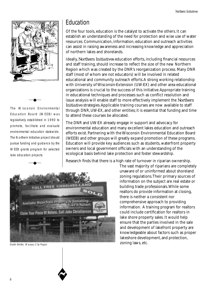

The Wisconsin Environmental Education Board (WEEB) was legislatively established in 1990 to promote, facilitate and evaluate environmental education statewide. The Northern Initiative project should pursue funding and guidance by the WEEB grants program for selected lake education projects.

◆

◆

## Education

Of the four tools, education is the catalyst to activate the others. It can establish an understanding of the need for protection and wise use of water resources. Communication, information, education and outreach activities can assist in raising awareness and increasing knowledge and appreciation of northern lakes and shorelands.

Ideally, *Northern Initiatives* education efforts, including financial resources and staff training, should increase to reflect the size of the new Northern Region which was created by the DNR's reorganization process. Many DNR staff (most of whom are not educators) will be involved in related educational and community outreach efforts. A strong working relationship with University of Wisconsin-Extension (UW-EX) and other area educational organizations is crucial to the success of this initiative. Appropriate training in educational techniques and processes such as conflict resolution and issue analysis will enable staff to more effectively implement the *Northern Initiative* strategies. Applicable training courses are now available to staff through DNR, UW-EX, and other entities; it is essential that funding and time to attend these courses be allocated.

The DNR and UW-EX already engage in support and advocacy for environmental education and many excellent lakes education and outreach efforts exist. Partnering with the Wisconsin Environmental Education Board (WEEB) and other groups will greatly expand promotion of these programs. Education will provide key audiences such as students, waterfront property owners and local government officials with an understanding of the ecological basis behind lake protection and foster stewardship.

Research finds that there is a high rate of turnover in riparian ownership.



Dustin Beilke, Wausau City Pages

The vast majority of riparians are completely unaware of or uninformed about shoreland zoning regulations. Their primary sources of information on the subject are real estate or building trade professionals. While some realtors do provide information at closing, there is neither a consistent nor comprehensive approach to providing information. A training program for realtors could include certification for realtors in lake shore property sales. It would help ensure that the parties involved in the sale and development of lakefront property are knowledgeable about factors such as proper lakeshore development, and protection, zoning laws, etc.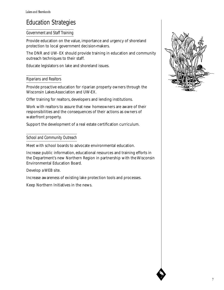## Education Strategies

#### Government and Staff Training

Provide education on the value, importance and urgency of shoreland protection to local government decision-makers.

The DNR and UW- EX should provide training in education and community outreach techniques to their staff.

Educate legislators on lake and shoreland issues.

#### Riparians and Realtors

Provide proactive education for riparian property owners through the Wisconsin Lakes Association and UW-EX.

Offer training for realtors, developers and lending institutions.

Work with realtors to assure that new homeowners are aware of their responsibilities and the consequences of their actions as owners of waterfront property.

Support the development of a real estate certification curriculum.

#### School and Community Outreach

Meet with school boards to advocate environmental education.

Increase public information, educational resources and training efforts in the Department's new Northern Region in partnership with the Wisconsin Environmental Education Board.

Develop a WEB site.

Increase awareness of existing lake protection tools and processes.

Keep Northern Initiatives in the news.

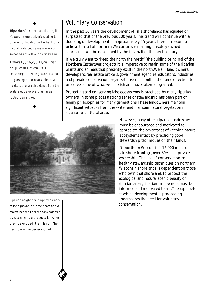**Riparian** \rə·'per·e-ən, ri-\ *adj* [L riparius—more at river]: relating to or living or located on the bank of a natural watercourse (as a river) or sometimes of a lake or a tidewater.

◆

**Littoral** \\'lit<sub>-</sub>ə-rəl; .lit-ə-'ral, -'ral\ adj [L litoralis, fr. litor-, litus seashore]: of, relating to,or situated or growing on or near a shore. A habitat zone which extends from the water's edge outward as far as rooted plants grow.

◆

## Voluntary Conservation

In the past 30 years the development of lake shorelands has equaled or surpassed that of the previous 100 years. This trend will continue with a doubling of development in approximately 15 years. There is reason to believe that all of northern Wisconsin's remaining privately owned shorelands will be developed by the first half of the next century.

If we truly want to "keep the north the north" (the guiding principal of the *Northern Initiatives* project) it is imperative to retain some of the riparian plants and animals that presently exist in the north. We all (land owners, developers, real estate brokers, government agencies, educators, industries and private conservation organizations) must pull in the same direction to preserve some of what we cherish and have taken for granted.

Protecting and conserving lake ecosystems is practiced by many riparian owners. In some places a strong sense of stewardship has been part of family philosophies for many generations. These landowners maintain significant setbacks from the water and maintain natural vegetation in riparian and littoral areas.



Riparian neighbors: property owners to the right and left in the photo above maintained the north woods character by retaining natural vegetation when they developed their land. Their neighbor in the center did not.

However, many other riparian landowners must be encouraged and motivated to appreciate the advantages of keeping natural ecosystems intact by practicing good stewardship techniques on their lands.

Of northern Wisconsin's 12,000 miles of lakeshore frontage, over 80% is in private ownership. The use of conservation and healthy stewardship techniques on northern Wisconsin shorelands is dependent on those who own that shoreland. To protect the ecological and natural scenic beauty of riparian areas, riparian landowners must be informed and motivated to act. The rapid rate at which development is proceeding underscores the need for voluntary conservation.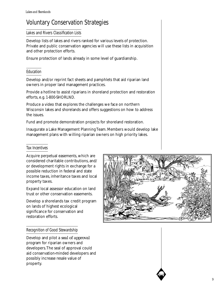## Voluntary Conservation Strategies

#### Lakes and Rivers Classification Lists

Develop lists of lakes and rivers ranked for various levels of protection. Private and public conservation agencies will use these lists in acquisition and other protection efforts.

Ensure protection of lands already in some level of guardianship.

#### Education

Develop and/or reprint fact sheets and pamphlets that aid riparian land owners in proper land management practices.

Provide a hotline to assist riparians in shoreland protection and restoration efforts, e.g. 1-800-SHORLND.

Produce a video that explores the challenges we face on northern Wisconsin lakes and shorelands and offers suggestions on how to address the issues.

Fund and promote demonstration projects for shoreland restoration.

Inaugurate a Lake Management Planning Team. Members would develop lake management plans with willing riparian owners on high priority lakes.

#### Tax Incentives

Acquire perpetual easements, which are considered charitable contributions, and/ or development rights in exchange for a possible reduction in federal and state income taxes, inheritance taxes and local property taxes.

Expand local assessor education on land trust or other conservation easements.

Develop a shorelands tax credit program on lands of highest ecological significance for conservation and restoration efforts.

#### Recognition of Good Stewardship

Develop and pilot a *seal of approval* program for riparian owners and developers. The seal of approval could aid conservation-minded developers and possibly increase resale value of property.

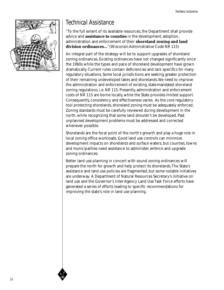

## Technical Assistance

"To the full extent of its available resources, the Department shall provide advice and **assistance to counties** in the development, adoption, administration and enforcement of their **shoreland zoning and land division ordinances...**" (Wisconsin Administrative Code NR 115)

An integral part of the strategy will be to support upgrades of shoreland zoning ordinances. Existing ordinances have not changed significantly since the 1960s while the types and pace of shoreland development have grown dramatically. Current rules contain deficiencies and lack specifics for many regulatory situations. Some local jurisdictions are seeking greater protection of their remaining undeveloped lakes and shorelands. We need to improve the administration and enforcement of existing, state-mandated shoreland zoning regulations, i.e. NR 115. Presently, administration and enforcement costs of NR 115 are borne locally, while the State provides limited support. Consequently, consistency and effectiveness varies. As the core regulatory tool protecting shorelands, shoreland zoning must be adequately enforced. Zoning standards must be carefully reviewed during development in the north, while recognizing that some land shouldn't be developed. Past unplanned development problems must be addressed and corrected whenever possible.

Shorelands are the focal point of the north's growth and play a huge role in local zoning office workloads. Good land use controls can minimize development impacts on shorelands and surface waters, but counties, towns and municipalities need assistance to administer, enforce and upgrade zoning ordinances.

Better land use planning in concert with sound zoning ordinances will prepare the north for growth and help protect its shorelands. The State's assistance and land use policies are fragmented, but some notable initiatives are underway. A Department of Natural Resources Secretary's initiative on land use and the Governor's Inter-Agency Land Use Task Force efforts have generated a series of efforts leading to specific recommendations for improving the state's role in land use planning.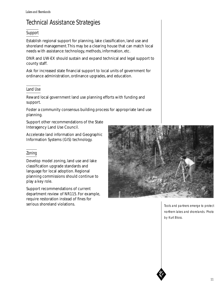## Technical Assistance Strategies

#### Support

Establish regional support for planning, lake classification, land use and shoreland management. This may be a clearing house that can match local needs with assistance: technology, methods, information, etc.

DNR and UW-EX should sustain and expand technical and legal support to county staff.

Ask for increased state financial support to local units of government for ordinance administration, ordinance upgrades, and education.

#### Land Use

Reward local government land use planning efforts with funding and support.

Foster a community consensus building process for appropriate land use planning.

Support other recommendations of the State Interagency Land Use Council.

Accelerate land information and Geographic Information Systems (GIS) technology.

#### Zoning

Develop model zoning, land use and lake classification upgrade standards and language for local adoption. Regional planning commissions should continue to play a key role.

Support recommendations of current department review of NR115. For example, require restoration instead of fines for serious shoreland violations.



Tools and partners emerge to protect northern lakes and shorelands. Photo by Kurt Bloss.

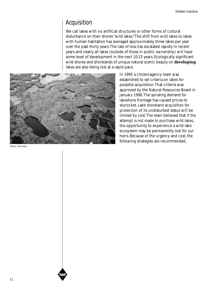## Acquisition

We call lakes with no artificial structures or other forms of cultural disturbance on their shores "wild lakes." The shift from wild lakes to lakes with human habitation has averaged approximately three lakes per year over the past thirty years. The rate of loss has escalated rapidly in recent years and nearly all lakes (outside of those in public ownership) will have some level of development in the next 10-15 years. Ecologically significant wild shores and shorelands of unique natural scenic beauty on **developing** lakes are also being lost at a rapid pace.



Bruce Swanson

In 1995 a citizen/agency team was established to set criteria on lakes for possible acquisition. That criteria was approved by the Natural Resources Board in January 1996. The spiraling demand for lakeshore frontage has caused prices to skyrocket. Lake shoreland acquisition for protection of its undisturbed status will be limited by cost. The team believed that if the attempt is not made to purchase wild lakes, the opportunity to experience a wild lake ecosystem may be permanently lost for our heirs. Because of the urgency and cost, the following strategies are recommended.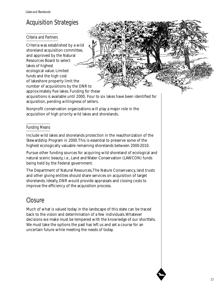## Acquisition Strategies

#### Criteria and Partners

Criteria was established by a wild shoreland acquisition committee, and approved by the Natural Resources Board to select lakes of highest ecological value. Limited funds and the high cost of lakeshore property limit the number of acquisitions by the DNR to approximately five lakes. Funding for these

acquisitions is available until 2000. Four to six lakes have been identified for acquisition, pending willingness of sellers.

Nonprofit conservation organizations will play a major role in the acquisition of high priority wild lakes and shorelands.

#### Funding Means

Include wild lakes and shorelands protection in the reauthorization of the Stewardship Program in 2000. This is essential to preserve some of the highest ecologically valuable remaining shorelands between 2000-2010.

Pursue other funding sources for acquiring wild shoreland of ecological and natural scenic beauty, i.e., Land and Water Conservation (LAWCON) funds being held by the Federal government.

The Department of Natural Resources, The Nature Conservancy, land trusts and other giving entities should share services on acquisition of target shorelands. Ideally, DNR would provide appraisals and closing costs to improve the efficiency of the acquisition process.

## Closure

Much of what is valued today in the landscape of this state can be traced back to the vision and determination of a few individuals. Whatever decisions we make must be tempered with the knowledge of our shortfalls. We must take the options the past has left us and set a course for an uncertain future while meeting the needs of today.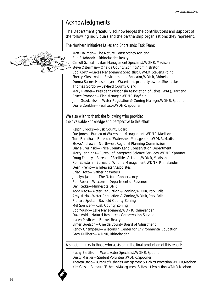## Acknowledgments:

The Department gratefully acknowledges the contributions and support of the following individuals and the partnership organizations they represent.

The Northern Initiatives Lakes and Shorelands Task Team:

Matt Dallman—The Nature Conservancy, Ashland Bob Estabrook—Rhinelander Realty Carroll Schaal—Lakes Management Specialist, WDNR, Madison Steve Osterman—Oneida County Zoning Administrator Bob Korth—Lakes Management Specialist, UW-EX, Stevens Point Sherry Klosiewski—Environmental Educator, WDNR, Rhinelander Donna Barnes-Haesemeyer—Waterfront property owner, Shell Lake Thomas Gordon—Bayfield County Clerk Mary Platner—President, Wisconsin Association of Lakes (WAL), Hartland Bruce Swanson—Fish Manager, WDNR, Bayfield John Gozdzialski—Water Regulation & Zoning Manager, WDNR, Spooner Diane Conklin—Facilitator, WDNR, Spooner

We also wish to thank the following who provided their valuable knowledge and perspective to this effort:

Ralph Crooks—Rusk County Board Sue Jones—Bureau of Watershed Management, WDNR, Madison Tom Bernthal—Bureau of Watershed Management, WDNR, Madison Steve Andrews—Northwest Regional Planning Commission Diane Brezinski—Price County Land Conservation Department Marty Jennings—Bureau of Integrated Science Services, WDNR, Spooner Doug Fendry—Bureau of Facilities & Lands, WDNR, Madison Ron Eckstein—Bureau of Wildlife Management, WDNR, Rhinelander Dean Premo—Whitewater Associates Brian Hotz—Gathering Waters Jocelyn Jacobs—The Nature Conservancy Ron Roser—Wisconsin Department of Revenue Dan Retka—Minnesota DNR Todd Naas—Water Regulation & Zoning, WDNR, Park Falls Amy Mizia—Water Regulation & Zoning, WDNR, Park Falls Richard Spotts—Bayfield County Zoning Mel Spencer—Rusk County Zoning Bob Young—Lake Management, WDNR, Rhinelander Dave Vold—Natural Resources Conservation Service Karen Pavlicek—Burnet Realty Elmer Goetsch—Oneida County Board of Adjustment Randy Champeau—Wisconsin Center for Environmental Education Gary Kulibert—WDNR, Rhinelander

A special thanks to those who assisted in the final production of this report:

Kathy Bartilson—Wastewater Specialist, WDNR, Spooner Dusty Marker—Student Volunteer, WDNR, Spooner Theresa Stabo—Bureau of Fisheries Management & Habitat Protection, WDNR, Madison Kim Giese—Bureau of Fisheries Management & Habitat Protection, WDNR, Madison

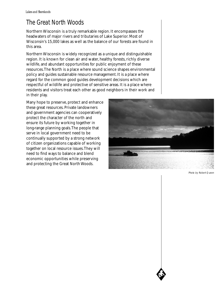## The Great North Woods

Northern Wisconsin is a truly remarkable region. It encompasses the headwaters of major rivers and tributaries of Lake Superior. Most of Wisconsin's 15,000 lakes as well as the balance of our forests are found in this area.

Northern Wisconsin is widely recognized as a unique and distinguishable region. It is known for clean air and water, healthy forests, richly diverse wildlife, and abundant opportunities for public enjoyment of these resources. The North is a place where sound science shapes environmental policy and guides sustainable resource management. It is a place where regard for the common good guides development decisions which are respectful of wildlife and protective of sensitive areas. It is a place where residents and visitors treat each other as good neighbors in their work and in their play.

Many hope to preserve, protect and enhance these great resources. Private landowners and government agencies can cooperatively protect the character of the north and ensure its future by working together in long-range planning goals. The people that serve in local government need to be continually supported by a strong network of citizen organizations capable of working together on local resource issues. They will need to find ways to balance and blend economic opportunities while preserving and protecting the Great North Woods.



Photo by Robert Queen